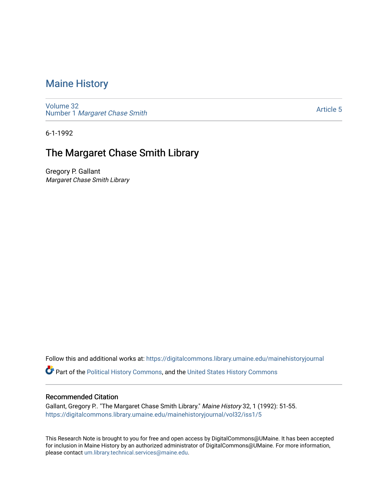# [Maine History](https://digitalcommons.library.umaine.edu/mainehistoryjournal)

[Volume 32](https://digitalcommons.library.umaine.edu/mainehistoryjournal/vol32) Number 1 [Margaret Chase Smith](https://digitalcommons.library.umaine.edu/mainehistoryjournal/vol32/iss1) 

[Article 5](https://digitalcommons.library.umaine.edu/mainehistoryjournal/vol32/iss1/5) 

6-1-1992

## The Margaret Chase Smith Library

Gregory P. Gallant Margaret Chase Smith Library

Follow this and additional works at: [https://digitalcommons.library.umaine.edu/mainehistoryjournal](https://digitalcommons.library.umaine.edu/mainehistoryjournal?utm_source=digitalcommons.library.umaine.edu%2Fmainehistoryjournal%2Fvol32%2Fiss1%2F5&utm_medium=PDF&utm_campaign=PDFCoverPages) 

Part of the [Political History Commons,](http://network.bepress.com/hgg/discipline/505?utm_source=digitalcommons.library.umaine.edu%2Fmainehistoryjournal%2Fvol32%2Fiss1%2F5&utm_medium=PDF&utm_campaign=PDFCoverPages) and the [United States History Commons](http://network.bepress.com/hgg/discipline/495?utm_source=digitalcommons.library.umaine.edu%2Fmainehistoryjournal%2Fvol32%2Fiss1%2F5&utm_medium=PDF&utm_campaign=PDFCoverPages)

#### Recommended Citation

Gallant, Gregory P.. "The Margaret Chase Smith Library." Maine History 32, 1 (1992): 51-55. [https://digitalcommons.library.umaine.edu/mainehistoryjournal/vol32/iss1/5](https://digitalcommons.library.umaine.edu/mainehistoryjournal/vol32/iss1/5?utm_source=digitalcommons.library.umaine.edu%2Fmainehistoryjournal%2Fvol32%2Fiss1%2F5&utm_medium=PDF&utm_campaign=PDFCoverPages)

This Research Note is brought to you for free and open access by DigitalCommons@UMaine. It has been accepted for inclusion in Maine History by an authorized administrator of DigitalCommons@UMaine. For more information, please contact [um.library.technical.services@maine.edu.](mailto:um.library.technical.services@maine.edu)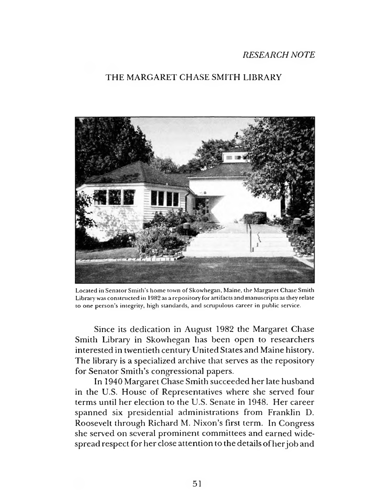## *RESEARCH NOTE*

## THE MARGARET CHASE SMITH LIBRARY



Located in Senator Smith's home town of Skowhegan, Maine, the Margaret Chase Smith Library was constructed in 1982 as a repository for artifacts and manuscripts as they relate to one person's integrity, high standards, and scrupulous career in public service.

Since its dedication in August 1982 the Margaret Chase Smith Library in Skowhegan has been open to researchers interested in twentieth century United States and Maine history. The library is a specialized archive that serves as the repository for Senator Smith's congressional papers.

In 1940 Margaret Chase Smith succeeded her late husband in the U.S. House of Representatives where she served four terms until her election to the U.S. Senate in 1948. Her career spanned six presidential administrations from Franklin D. Roosevelt through Richard M. Nixon's first term. In Congress she served on several prominent committees and earned widespread respect for her close attention to the details of her job and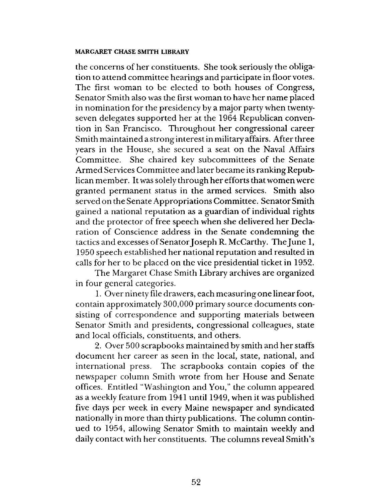### **MARGARET CHASE SMITH LIBRARY**

the concerns of her constituents. She took seriously the obligation to attend committee hearings and participate in floor votes. The first woman to be elected to both houses of Congress, Senator Smith also was the first woman to have her name placed in nomination for the presidency by a major party when twentyseven delegates supported her at the 1964 Republican convention in San Francisco. Throughout her congressional career Smith maintained a strong interest in military affairs. After three years in the House, she secured a seat on the Naval Affairs Committee. She chaired key subcommittees of the Senate Armed Services Committee and later became its ranking Republican member. It was solely through her efforts that women were granted permanent status in the armed services. Smith also served on the Senate Appropriations Committee. Senator Smith gained a national reputation as a guardian of individual rights and the protector of free speech when she delivered her Declaration of Conscience address in the Senate condemning the tactics and excesses of Senator Joseph R. McCarthy. The June 1, 1950 speech established her national reputation and resulted in calls for her to be placed on the vice presidential ticket in 1952.

The Margaret Chase Smith Library archives are organized in four general categories.

1. Over ninety file drawers, each measuring one linear foot, contain approximately 300,000 primary source documents consisting of correspondence and supporting materials between Senator Smith and presidents, congressional colleagues, state and local officials, constituents, and others.

2. Over 500 scrapbooks maintained by smith and her staffs document her career as seen in the local, state, national, and international press. The scrapbooks contain copies of the newspaper column Smith wrote from her House and Senate offices. Entitled "Washington and You," the column appeared as a weekly feature from 1941 until 1949, when it was published five days per week in every Maine newspaper and syndicated nationally in more than thirty publications. The column continued to 1954, allowing Senator Smith to maintain weekly and daily contact with her constituents. The columns reveal Smith's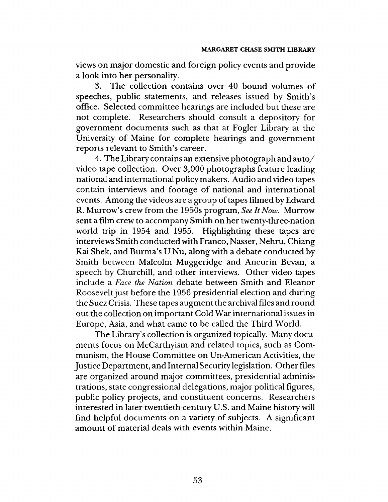views on major domestic and foreign policy events and provide a look into her personality.

3. The collection contains over 40 bound volumes of speeches, public statements, and releases issued by Smith's office. Selected committee hearings are included but these are not complete. Researchers should consult a depository for government documents such as that at Fogler Library at the University of Maine for complete hearings and government reports relevant to Smith's career.

4. The Library contains an extensive photograph and auto/ video tape collection. Over 3,000 photographs feature leading national and international policy makers. Audio and video tapes contain interviews and footage of national and international events. Among the videos are a group of tapes filmed by Edward R. Murrow's crew from the 1950s program, *See It Now.* Murrow sent a film crew to accompany Smith on her twenty-three-nation world trip in 1954 and 1955. Highlighting these tapes are interviews Smith conducted with Franco, Nasser, Nehru, Chiang Kai Shek, and Burma's U Nu, along with a debate conducted by Smith between Malcolm Muggeridge and Aneurin Bevan, a speech by Churchill, and other interviews. Other video tapes include a *Face the Nation* debate between Smith and Eleanor Roosevelt just before the 1956 presidential election and during the Suez Crisis. These tapes augment the archival files and round out the collection on important Cold War international issues in Europe, Asia, and what came to be called the Third World.

The Library's collection is organized topically. Many documents focus on McCarthyism and related topics, such as Communism, the House Committee on Un-American Activities, the Justice Department, and Internal Security legislation. Other files are organized around major committees, presidential administrations, state congressional delegations, major political figures, public policy projects, and constituent concerns. Researchers interested in later-twentieth-century U.S. and Maine history will find helpful documents on a variety of subjects. A significant amount of material deals with events within Maine.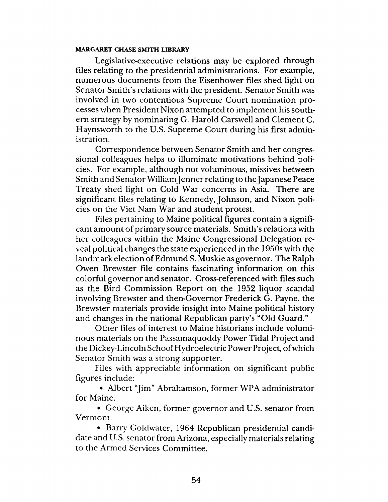### **MARGARET CHASE SMITH LIBRARY**

Legislative-executive relations may be explored through files relating to the presidential administrations. For example, numerous documents from the Eisenhower files shed light on Senator Smith's relations with the president. Senator Smith was involved in two contentious Supreme Court nomination processes when President Nixon attempted to implement his southern strategy by nominating G. Harold Carswell and Clement C. Haynsworth to the U.S. Supreme Court during his first administration.

Correspondence between Senator Smith and her congressional colleagues helps to illuminate motivations behind policies. For example, although not voluminous, missives between Smith and Senator William Jenner relating to the Japanese Peace Treaty shed light on Cold War concerns in Asia. There are significant files relating to Kennedy, Johnson, and Nixon policies on the Viet Nam War and student protest.

Files pertaining to Maine political figures contain a significant amount of primary source materials. Smith's relations with her colleagues within the Maine Congressional Delegation reveal political changes the state experienced in the 1950s with the landmark election of Edmund S. Muskie as governor. The Ralph Owen Brewster file contains fascinating information on this colorful governor and senator. Cross-referenced with files such as the Bird Commission Report on the 1952 liquor scandal involving Brewster and then-Governor Frederick G. Payne, the Brewster materials provide insight into Maine political history and changes in the national Republican party's "Old Guard."

Other files of interest to Maine historians include voluminous materials on the Passamaquoddy Power Tidal Project and the Dickey-Lincoln School Hydroelectric Power Project, of which Senator Smith was a strong supporter.

Files with appreciable information on significant public figures include:

• Albert "Jim" Abrahamson, former WPA administrator for Maine.

• George Aiken, former governor and U.S. senator from Vermont.

• Barry Goldwater, 1964 Republican presidential candidate and U.S. senator from Arizona, especially materials relating to the Armed Services Committee.